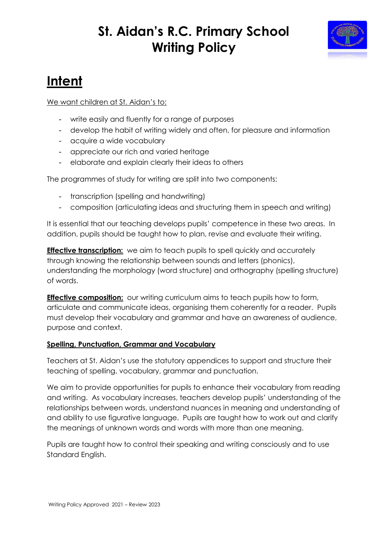### **St. Aidan's R.C. Primary School Writing Policy**



# **Intent**

We want children at St. Aidan's to:

- write easily and fluently for a range of purposes
- develop the habit of writing widely and often, for pleasure and information
- acquire a wide vocabulary
- appreciate our rich and varied heritage
- elaborate and explain clearly their ideas to others

The programmes of study for writing are split into two components:

- transcription (spelling and handwriting)
- composition (articulating ideas and structuring them in speech and writing)

It is essential that our teaching develops pupils' competence in these two areas. In addition, pupils should be taught how to plan, revise and evaluate their writing.

**Effective transcription:** we aim to teach pupils to spell quickly and accurately through knowing the relationship between sounds and letters (phonics), understanding the morphology (word structure) and orthography (spelling structure) of words.

**Effective composition:** our writing curriculum aims to teach pupils how to form, articulate and communicate ideas, organising them coherently for a reader. Pupils must develop their vocabulary and grammar and have an awareness of audience, purpose and context.

### **Spelling, Punctuation, Grammar and Vocabulary**

Teachers at St. Aidan's use the statutory appendices to support and structure their teaching of spelling, vocabulary, grammar and punctuation.

We aim to provide opportunities for pupils to enhance their vocabulary from reading and writing. As vocabulary increases, teachers develop pupils' understanding of the relationships between words, understand nuances in meaning and understanding of and ability to use figurative language. Pupils are taught how to work out and clarify the meanings of unknown words and words with more than one meaning.

Pupils are taught how to control their speaking and writing consciously and to use Standard English.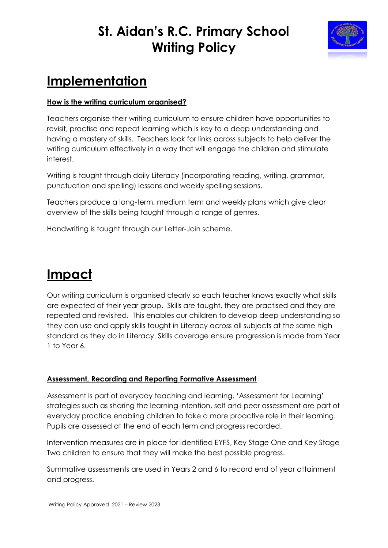### **St. Aidan's R.C. Primary School Writing Policy**



# **Implementation**

#### **How is the writing curriculum organised?**

Teachers organise their writing curriculum to ensure children have opportunities to revisit, practise and repeat learning which is key to a deep understanding and having a mastery of skills. Teachers look for links across subjects to help deliver the writing curriculum effectively in a way that will engage the children and stimulate interest.

Writing is taught through daily Literacy (incorporating reading, writing, grammar, punctuation and spelling) lessons and weekly spelling sessions.

Teachers produce a long-term, medium term and weekly plans which give clear overview of the skills being taught through a range of genres.

Handwriting is taught through our Letter-Join scheme.

# **Impact**

Our writing curriculum is organised clearly so each teacher knows exactly what skills are expected of their year group. Skills are taught, they are practised and they are repeated and revisited. This enables our children to develop deep understanding so they can use and apply skills taught in Literacy across all subjects at the same high standard as they do in Literacy. Skills coverage ensure progression is made from Year 1 to Year 6.

### **Assessment, Recording and Reporting Formative Assessment**

Assessment is part of everyday teaching and learning. 'Assessment for Learning' strategies such as sharing the learning intention, self and peer assessment are part of everyday practice enabling children to take a more proactive role in their learning. Pupils are assessed at the end of each term and progress recorded.

Intervention measures are in place for identified EYFS, Key Stage One and Key Stage Two children to ensure that they will make the best possible progress.

Summative assessments are used in Years 2 and 6 to record end of year attainment and progress.